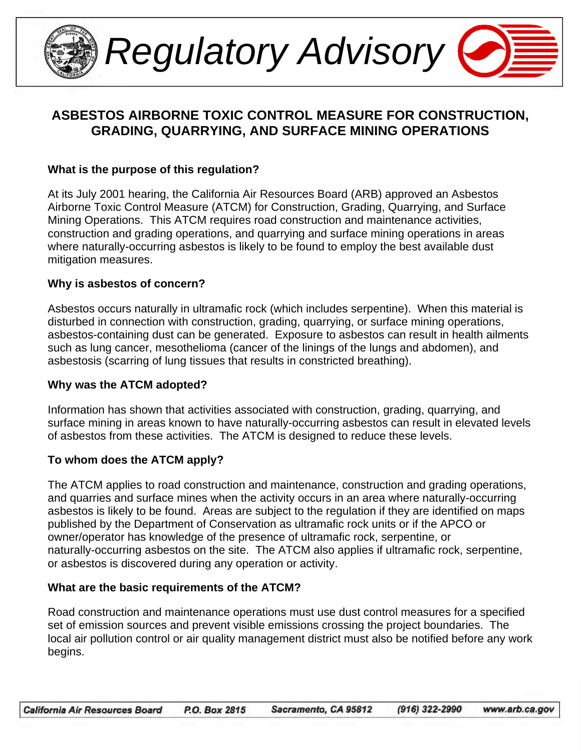

*Regulatory Advisory* 

# **ASBESTOS AIRBORNE TOXIC CONTROL MEASURE FOR CONSTRUCTION, GRADING, QUARRYING, AND SURFACE MINING OPERATIONS**

#### **What is the purpose of this regulation?**

At its July 2001 hearing, the California Air Resources Board (ARB) approved an Asbestos Airborne Toxic Control Measure (ATCM) for Construction, Grading, Quarrying, and Surface Mining Operations. This ATCM requires road construction and maintenance activities, construction and grading operations, and quarrying and surface mining operations in areas where naturally-occurring asbestos is likely to be found to employ the best available dust mitigation measures.

#### **Why is asbestos of concern?**

Asbestos occurs naturally in ultramafic rock (which includes serpentine). When this material is disturbed in connection with construction, grading, quarrying, or surface mining operations, asbestos-containing dust can be generated. Exposure to asbestos can result in health ailments such as lung cancer, mesothelioma (cancer of the linings of the lungs and abdomen), and asbestosis (scarring of lung tissues that results in constricted breathing).

#### **Why was the ATCM adopted?**

Information has shown that activities associated with construction, grading, quarrying, and surface mining in areas known to have naturally-occurring asbestos can result in elevated levels of asbestos from these activities. The ATCM is designed to reduce these levels.

#### **To whom does the ATCM apply?**

The ATCM applies to road construction and maintenance, construction and grading operations, and quarries and surface mines when the activity occurs in an area where naturally-occurring asbestos is likely to be found. Areas are subject to the regulation if they are identified on maps published by the Department of Conservation as ultramafic rock units or if the APCO or owner/operator has knowledge of the presence of ultramafic rock, serpentine, or naturally-occurring asbestos on the site. The ATCM also applies if ultramafic rock, serpentine, or asbestos is discovered during any operation or activity.

#### **What are the basic requirements of the ATCM?**

Road construction and maintenance operations must use dust control measures for a specified set of emission sources and prevent visible emissions crossing the project boundaries. The local air pollution control or air quality management district must also be notified before any work begins.